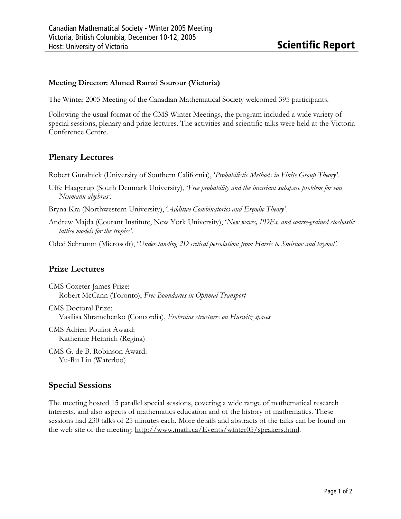## Meeting Director: Ahmed Ramzi Sourour (Victoria)

The Winter 2005 Meeting of the Canadian Mathematical Society welcomed 395 participants.

Following the usual format of the CMS Winter Meetings, the program included a wide variety of special sessions, plenary and prize lectures. The activities and scientific talks were held at the Victoria Conference Centre.

# Plenary Lectures

Robert Guralnick (University of Southern California), 'Probabilistic Methods in Finite Group Theory'.

- Uffe Haagerup (South Denmark University), 'Free probability and the invariant subspace problem for von Neumann algebras'.
- Bryna Kra (Northwestern University), 'Additive Combinatorics and Ergodic Theory'.
- Andrew Majda (Courant Institute, New York University), 'New waves, PDEs, and coarse-grained stochastic lattice models for the tropics'.

Oded Schramm (Microsoft), 'Understanding 2D critical percolation: from Harris to Smirnov and beyond'.

# Prize Lectures

CMS Coxeter-James Prize: Robert McCann (Toronto), Free Boundaries in Optimal Transport

CMS Doctoral Prize: Vasilisa Shramchenko (Concordia), Frobenius structures on Hurwitz spaces

CMS Adrien Pouliot Award: Katherine Heinrich (Regina)

CMS G. de B. Robinson Award: Yu-Ru Liu (Waterloo)

# Special Sessions

The meeting hosted 15 parallel special sessions, covering a wide range of mathematical research interests, and also aspects of mathematics education and of the history of mathematics. These sessions had 230 talks of 25 minutes each. More details and abstracts of the talks can be found on the web site of the meeting: http://www.math.ca/Events/winter05/speakers.html.